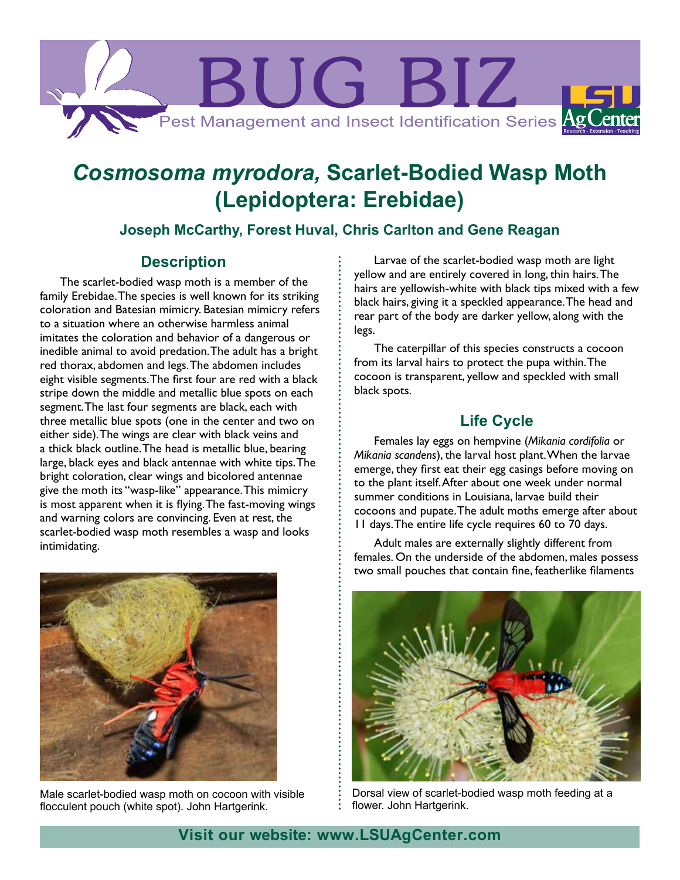

# *Cosmosoma myrodora,* **Scarlet-Bodied Wasp Moth (Lepidoptera: Erebidae)**

# **Joseph McCarthy, Forest Huval, Chris Carlton and Gene Reagan**

#### **Description**

The scarlet-bodied wasp moth is a member of the family Erebidae. The species is well known for its striking coloration and Batesian mimicry. Batesian mimicry refers to a situation where an otherwise harmless animal imitates the coloration and behavior of a dangerous or inedible animal to avoid predation. The adult has a bright red thorax, abdomen and legs. The abdomen includes eight visible segments. The first four are red with a black stripe down the middle and metallic blue spots on each segment. The last four segments are black, each with three metallic blue spots (one in the center and two on either side). The wings are clear with black veins and a thick black outline. The head is metallic blue, bearing large, black eyes and black antennae with white tips. The bright coloration, clear wings and bicolored antennae give the moth its "wasp-like" appearance. This mimicry is most apparent when it is flying. The fast-moving wings and warning colors are convincing. Even at rest, the scarlet-bodied wasp moth resembles a wasp and looks intimidating.



Male scarlet-bodied wasp moth on cocoon with visible flocculent pouch (white spot). John Hartgerink.

Larvae of the scarlet-bodied wasp moth are light yellow and are entirely covered in long, thin hairs. The hairs are yellowish-white with black tips mixed with a few black hairs, giving it a speckled appearance. The head and rear part of the body are darker yellow, along with the legs.

The caterpillar of this species constructs a cocoon from its larval hairs to protect the pupa within. The cocoon is transparent, yellow and speckled with small black spots.

# **Life Cycle**

Females lay eggs on hempvine (*Mikania cordifolia* or *Mikania scandens*), the larval host plant. When the larvae emerge, they first eat their egg casings before moving on to the plant itself. After about one week under normal summer conditions in Louisiana, larvae build their cocoons and pupate. The adult moths emerge after about 11 days. The entire life cycle requires 60 to 70 days.

Adult males are externally slightly different from females. On the underside of the abdomen, males possess two small pouches that contain fine, featherlike filaments



Dorsal view of scarlet-bodied wasp moth feeding at a flower. John Hartgerink.